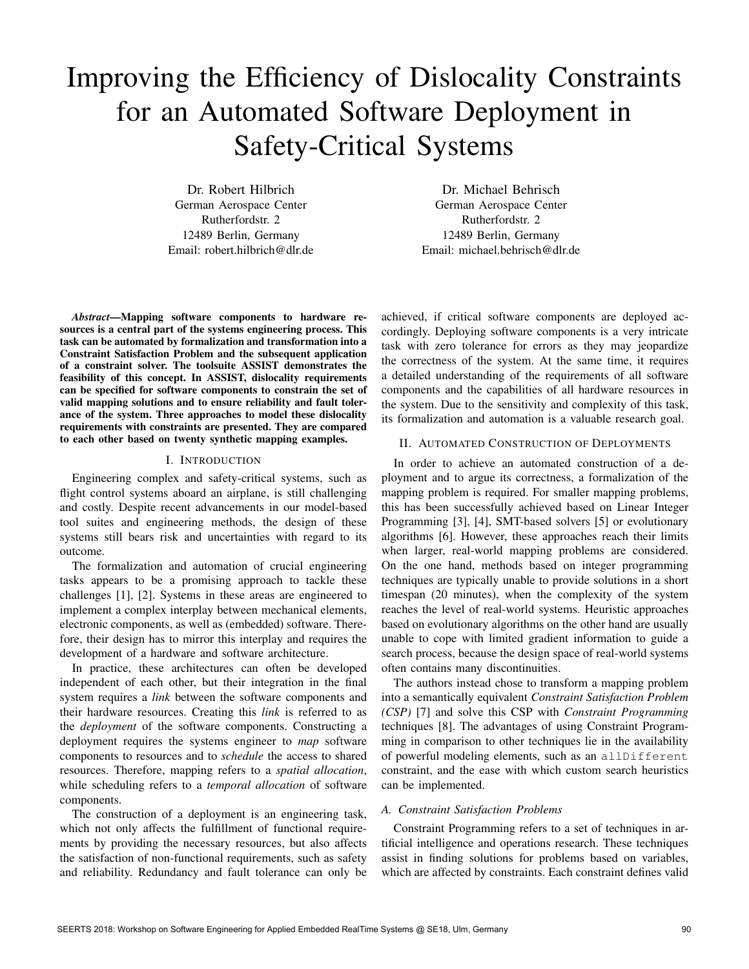# Improving the Efficiency of Dislocality Constraints for an Automated Software Deployment in Safety-Critical Systems

Dr. Robert Hilbrich German Aerospace Center Rutherfordstr. 2 12489 Berlin, Germany Email: robert.hilbrich@dlr.de

Dr. Michael Behrisch German Aerospace Center Rutherfordstr. 2 12489 Berlin, Germany Email: michael.behrisch@dlr.de

*Abstract*—Mapping software components to hardware resources is a central part of the systems engineering process. This task can be automated by formalization and transformation into a Constraint Satisfaction Problem and the subsequent application of a constraint solver. The toolsuite ASSIST demonstrates the feasibility of this concept. In ASSIST, dislocality requirements can be specified for software components to constrain the set of valid mapping solutions and to ensure reliability and fault tolerance of the system. Three approaches to model these dislocality requirements with constraints are presented. They are compared to each other based on twenty synthetic mapping examples.

#### I. INTRODUCTION

Engineering complex and safety-critical systems, such as flight control systems aboard an airplane, is still challenging and costly. Despite recent advancements in our model-based tool suites and engineering methods, the design of these systems still bears risk and uncertainties with regard to its outcome.

The formalization and automation of crucial engineering tasks appears to be a promising approach to tackle these challenges [1], [2]. Systems in these areas are engineered to implement a complex interplay between mechanical elements, electronic components, as well as (embedded) software. Therefore, their design has to mirror this interplay and requires the development of a hardware and software architecture.

In practice, these architectures can often be developed independent of each other, but their integration in the final system requires a *link* between the software components and their hardware resources. Creating this *link* is referred to as the *deployment* of the software components. Constructing a deployment requires the systems engineer to *map* software components to resources and to *schedule* the access to shared resources. Therefore, mapping refers to a *spatial allocation*, while scheduling refers to a *temporal allocation* of software components.

The construction of a deployment is an engineering task, which not only affects the fulfillment of functional requirements by providing the necessary resources, but also affects the satisfaction of non-functional requirements, such as safety and reliability. Redundancy and fault tolerance can only be achieved, if critical software components are deployed accordingly. Deploying software components is a very intricate task with zero tolerance for errors as they may jeopardize the correctness of the system. At the same time, it requires a detailed understanding of the requirements of all software components and the capabilities of all hardware resources in the system. Due to the sensitivity and complexity of this task, its formalization and automation is a valuable research goal.

#### II. AUTOMATED CONSTRUCTION OF DEPLOYMENTS

In order to achieve an automated construction of a deployment and to argue its correctness, a formalization of the mapping problem is required. For smaller mapping problems, this has been successfully achieved based on Linear Integer Programming [3], [4], SMT-based solvers [5] or evolutionary algorithms [6]. However, these approaches reach their limits when larger, real-world mapping problems are considered. On the one hand, methods based on integer programming techniques are typically unable to provide solutions in a short timespan (20 minutes), when the complexity of the system reaches the level of real-world systems. Heuristic approaches based on evolutionary algorithms on the other hand are usually unable to cope with limited gradient information to guide a search process, because the design space of real-world systems often contains many discontinuities.

The authors instead chose to transform a mapping problem into a semantically equivalent *Constraint Satisfaction Problem (CSP)* [7] and solve this CSP with *Constraint Programming* techniques [8]. The advantages of using Constraint Programming in comparison to other techniques lie in the availability of powerful modeling elements, such as an allDifferent constraint, and the ease with which custom search heuristics can be implemented.

#### *A. Constraint Satisfaction Problems*

Constraint Programming refers to a set of techniques in artificial intelligence and operations research. These techniques assist in finding solutions for problems based on variables, which are affected by constraints. Each constraint defines valid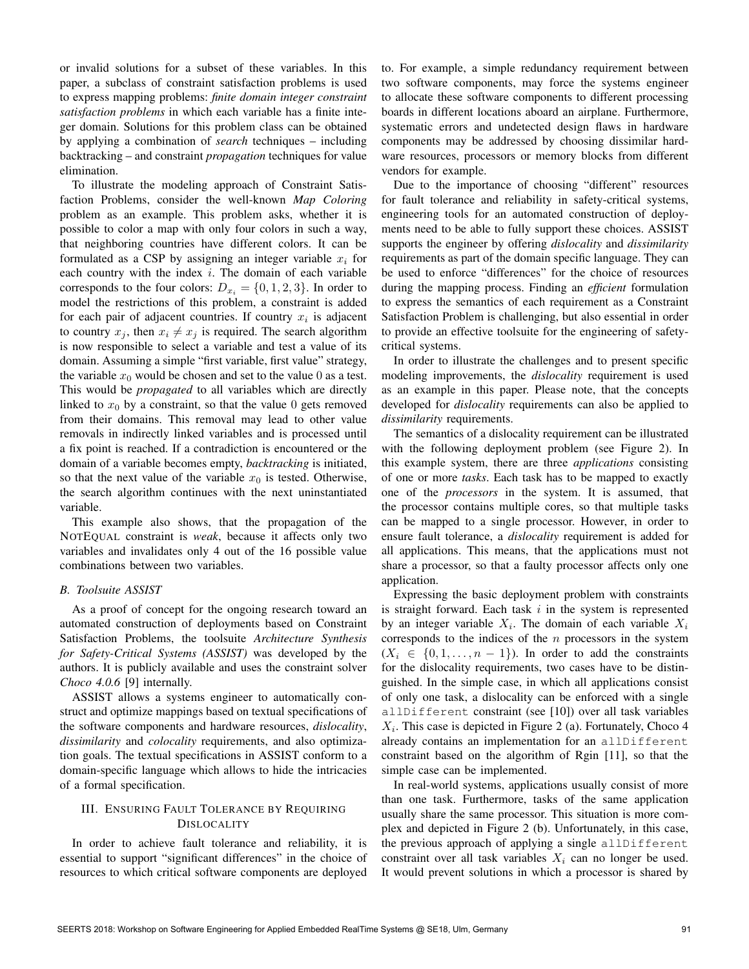or invalid solutions for a subset of these variables. In this paper, a subclass of constraint satisfaction problems is used to express mapping problems: *finite domain integer constraint satisfaction problems* in which each variable has a finite integer domain. Solutions for this problem class can be obtained by applying a combination of *search* techniques – including backtracking – and constraint *propagation* techniques for value elimination.

To illustrate the modeling approach of Constraint Satisfaction Problems, consider the well-known *Map Coloring* problem as an example. This problem asks, whether it is possible to color a map with only four colors in such a way, that neighboring countries have different colors. It can be formulated as a CSP by assigning an integer variable *x<sup>i</sup>* for each country with the index *i*. The domain of each variable corresponds to the four colors:  $D_{x_i} = \{0, 1, 2, 3\}$ . In order to model the restrictions of this problem, a constraint is added for each pair of adjacent countries. If country  $x_i$  is adjacent to country  $x_j$ , then  $x_i \neq x_j$  is required. The search algorithm is now responsible to select a variable and test a value of its domain. Assuming a simple "first variable, first value" strategy, the variable  $x_0$  would be chosen and set to the value 0 as a test. This would be *propagated* to all variables which are directly linked to  $x_0$  by a constraint, so that the value 0 gets removed from their domains. This removal may lead to other value removals in indirectly linked variables and is processed until a fix point is reached. If a contradiction is encountered or the domain of a variable becomes empty, *backtracking* is initiated, so that the next value of the variable  $x_0$  is tested. Otherwise, the search algorithm continues with the next uninstantiated variable.

This example also shows, that the propagation of the NOTEQUAL constraint is *weak*, because it affects only two variables and invalidates only 4 out of the 16 possible value combinations between two variables.

#### *B. Toolsuite ASSIST*

As a proof of concept for the ongoing research toward an automated construction of deployments based on Constraint Satisfaction Problems, the toolsuite *Architecture Synthesis for Safety-Critical Systems (ASSIST)* was developed by the authors. It is publicly available and uses the constraint solver *Choco 4.0.6* [9] internally.

ASSIST allows a systems engineer to automatically construct and optimize mappings based on textual specifications of the software components and hardware resources, *dislocality*, *dissimilarity* and *colocality* requirements, and also optimization goals. The textual specifications in ASSIST conform to a domain-specific language which allows to hide the intricacies of a formal specification.

## III. ENSURING FAULT TOLERANCE BY REQUIRING DISLOCALITY

In order to achieve fault tolerance and reliability, it is essential to support "significant differences" in the choice of resources to which critical software components are deployed to. For example, a simple redundancy requirement between two software components, may force the systems engineer to allocate these software components to different processing boards in different locations aboard an airplane. Furthermore, systematic errors and undetected design flaws in hardware components may be addressed by choosing dissimilar hardware resources, processors or memory blocks from different vendors for example.

Due to the importance of choosing "different" resources for fault tolerance and reliability in safety-critical systems, engineering tools for an automated construction of deployments need to be able to fully support these choices. ASSIST supports the engineer by offering *dislocality* and *dissimilarity* requirements as part of the domain specific language. They can be used to enforce "differences" for the choice of resources during the mapping process. Finding an *efficient* formulation to express the semantics of each requirement as a Constraint Satisfaction Problem is challenging, but also essential in order to provide an effective toolsuite for the engineering of safetycritical systems.

In order to illustrate the challenges and to present specific modeling improvements, the *dislocality* requirement is used as an example in this paper. Please note, that the concepts developed for *dislocality* requirements can also be applied to *dissimilarity* requirements.

The semantics of a dislocality requirement can be illustrated with the following deployment problem (see Figure 2). In this example system, there are three *applications* consisting of one or more *tasks*. Each task has to be mapped to exactly one of the *processors* in the system. It is assumed, that the processor contains multiple cores, so that multiple tasks can be mapped to a single processor. However, in order to ensure fault tolerance, a *dislocality* requirement is added for all applications. This means, that the applications must not share a processor, so that a faulty processor affects only one application.

Expressing the basic deployment problem with constraints is straight forward. Each task *i* in the system is represented by an integer variable  $X_i$ . The domain of each variable  $X_i$ corresponds to the indices of the *n* processors in the system  $(X_i \in \{0, 1, \ldots, n-1\})$ . In order to add the constraints for the dislocality requirements, two cases have to be distinguished. In the simple case, in which all applications consist of only one task, a dislocality can be enforced with a single allDifferent constraint (see [10]) over all task variables  $X_i$ . This case is depicted in Figure 2 (a). Fortunately, Choco 4 already contains an implementation for an allDifferent constraint based on the algorithm of Rgin [11], so that the simple case can be implemented.

In real-world systems, applications usually consist of more than one task. Furthermore, tasks of the same application usually share the same processor. This situation is more complex and depicted in Figure 2 (b). Unfortunately, in this case, the previous approach of applying a single allDifferent constraint over all task variables  $X_i$  can no longer be used. It would prevent solutions in which a processor is shared by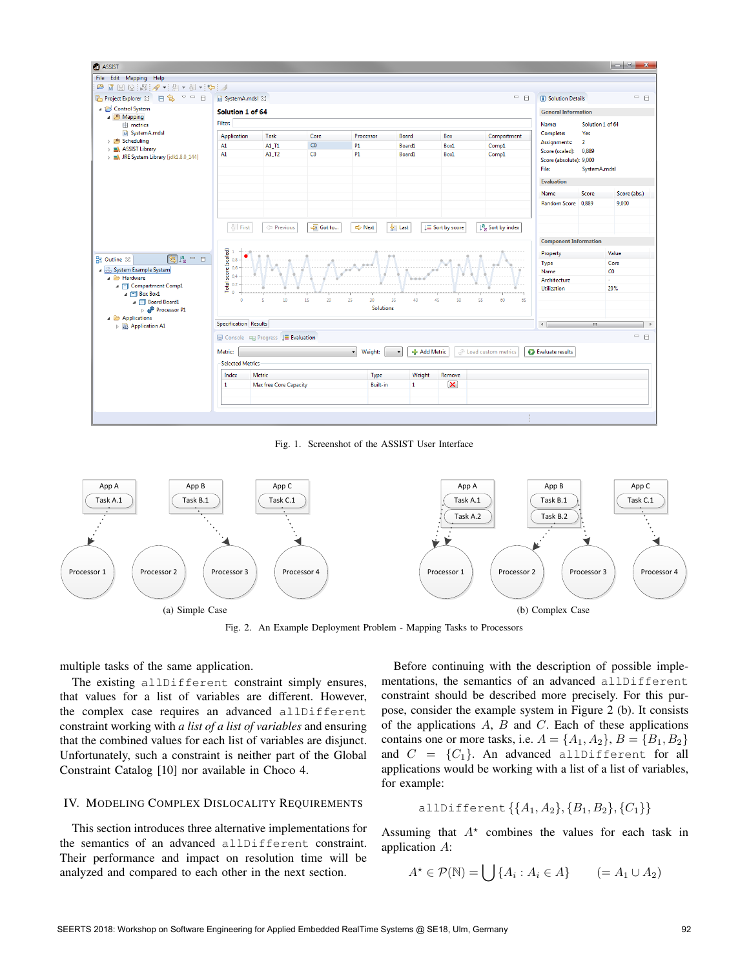

Fig. 1. Screenshot of the ASSIST User Interface



Fig. 2. An Example Deployment Problem - Mapping Tasks to Processors

multiple tasks of the same application.

The existing allDifferent constraint simply ensures, that values for a list of variables are different. However, the complex case requires an advanced allDifferent constraint working with *a list of a list of variables* and ensuring that the combined values for each list of variables are disjunct. Unfortunately, such a constraint is neither part of the Global Constraint Catalog [10] nor available in Choco 4.

# IV. MODELING COMPLEX DISLOCALITY REQUIREMENTS

This section introduces three alternative implementations for the semantics of an advanced allDifferent constraint. Their performance and impact on resolution time will be analyzed and compared to each other in the next section.

Before continuing with the description of possible implementations, the semantics of an advanced allDifferent constraint should be described more precisely. For this purpose, consider the example system in Figure 2 (b). It consists of the applications *A*, *B* and *C*. Each of these applications contains one or more tasks, i.e.  $A = \{A_1, A_2\}, B = \{B_1, B_2\}$ and  $C = \{C_1\}$ . An advanced allDifferent for all applications would be working with a list of a list of variables, for example:

$$
\text{allDifferent} \left\{ \{A_1, A_2\}, \{B_1, B_2\}, \{C_1\} \right\}
$$

Assuming that  $A^*$  combines the values for each task in application *A*:

$$
A^* \in \mathcal{P}(\mathbb{N}) = \bigcup \{ A_i : A_i \in A \} \qquad (= A_1 \cup A_2)
$$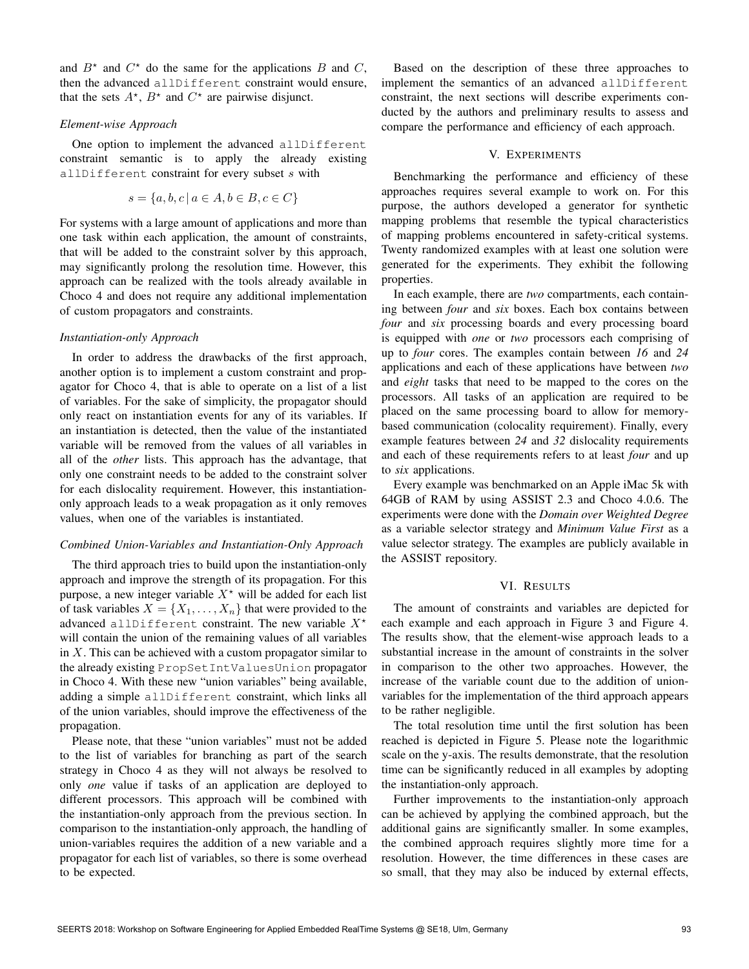and  $B^*$  and  $C^*$  do the same for the applications *B* and *C*, then the advanced allDifferent constraint would ensure, that the sets  $A^*$ ,  $B^*$  and  $C^*$  are pairwise disjunct.

#### *Element-wise Approach*

One option to implement the advanced allDifferent constraint semantic is to apply the already existing allDifferent constraint for every subset *s* with

$$
s = \{a, b, c \mid a \in A, b \in B, c \in C\}
$$

For systems with a large amount of applications and more than one task within each application, the amount of constraints, that will be added to the constraint solver by this approach, may significantly prolong the resolution time. However, this approach can be realized with the tools already available in Choco 4 and does not require any additional implementation of custom propagators and constraints.

## *Instantiation-only Approach*

In order to address the drawbacks of the first approach, another option is to implement a custom constraint and propagator for Choco 4, that is able to operate on a list of a list of variables. For the sake of simplicity, the propagator should only react on instantiation events for any of its variables. If an instantiation is detected, then the value of the instantiated variable will be removed from the values of all variables in all of the *other* lists. This approach has the advantage, that only one constraint needs to be added to the constraint solver for each dislocality requirement. However, this instantiationonly approach leads to a weak propagation as it only removes values, when one of the variables is instantiated.

#### *Combined Union-Variables and Instantiation-Only Approach*

The third approach tries to build upon the instantiation-only approach and improve the strength of its propagation. For this purpose, a new integer variable  $X^*$  will be added for each list of task variables  $X = \{X_1, \ldots, X_n\}$  that were provided to the advanced allDifferent constraint. The new variable  $X^*$ will contain the union of the remaining values of all variables in *X*. This can be achieved with a custom propagator similar to the already existing PropSetIntValuesUnion propagator in Choco 4. With these new "union variables" being available, adding a simple allDifferent constraint, which links all of the union variables, should improve the effectiveness of the propagation.

Please note, that these "union variables" must not be added to the list of variables for branching as part of the search strategy in Choco 4 as they will not always be resolved to only *one* value if tasks of an application are deployed to different processors. This approach will be combined with the instantiation-only approach from the previous section. In comparison to the instantiation-only approach, the handling of union-variables requires the addition of a new variable and a propagator for each list of variables, so there is some overhead to be expected.

Based on the description of these three approaches to implement the semantics of an advanced allDifferent constraint, the next sections will describe experiments conducted by the authors and preliminary results to assess and compare the performance and efficiency of each approach.

## V. EXPERIMENTS

Benchmarking the performance and efficiency of these approaches requires several example to work on. For this purpose, the authors developed a generator for synthetic mapping problems that resemble the typical characteristics of mapping problems encountered in safety-critical systems. Twenty randomized examples with at least one solution were generated for the experiments. They exhibit the following properties.

In each example, there are *two* compartments, each containing between *four* and *six* boxes. Each box contains between *four* and *six* processing boards and every processing board is equipped with *one* or *two* processors each comprising of up to *four* cores. The examples contain between *16* and *24* applications and each of these applications have between *two* and *eight* tasks that need to be mapped to the cores on the processors. All tasks of an application are required to be placed on the same processing board to allow for memorybased communication (colocality requirement). Finally, every example features between *24* and *32* dislocality requirements and each of these requirements refers to at least *four* and up to *six* applications.

Every example was benchmarked on an Apple iMac 5k with 64GB of RAM by using ASSIST 2.3 and Choco 4.0.6. The experiments were done with the *Domain over Weighted Degree* as a variable selector strategy and *Minimum Value First* as a value selector strategy. The examples are publicly available in the ASSIST repository.

## VI. RESULTS

The amount of constraints and variables are depicted for each example and each approach in Figure 3 and Figure 4. The results show, that the element-wise approach leads to a substantial increase in the amount of constraints in the solver in comparison to the other two approaches. However, the increase of the variable count due to the addition of unionvariables for the implementation of the third approach appears to be rather negligible.

The total resolution time until the first solution has been reached is depicted in Figure 5. Please note the logarithmic scale on the y-axis. The results demonstrate, that the resolution time can be significantly reduced in all examples by adopting the instantiation-only approach.

Further improvements to the instantiation-only approach can be achieved by applying the combined approach, but the additional gains are significantly smaller. In some examples, the combined approach requires slightly more time for a resolution. However, the time differences in these cases are so small, that they may also be induced by external effects,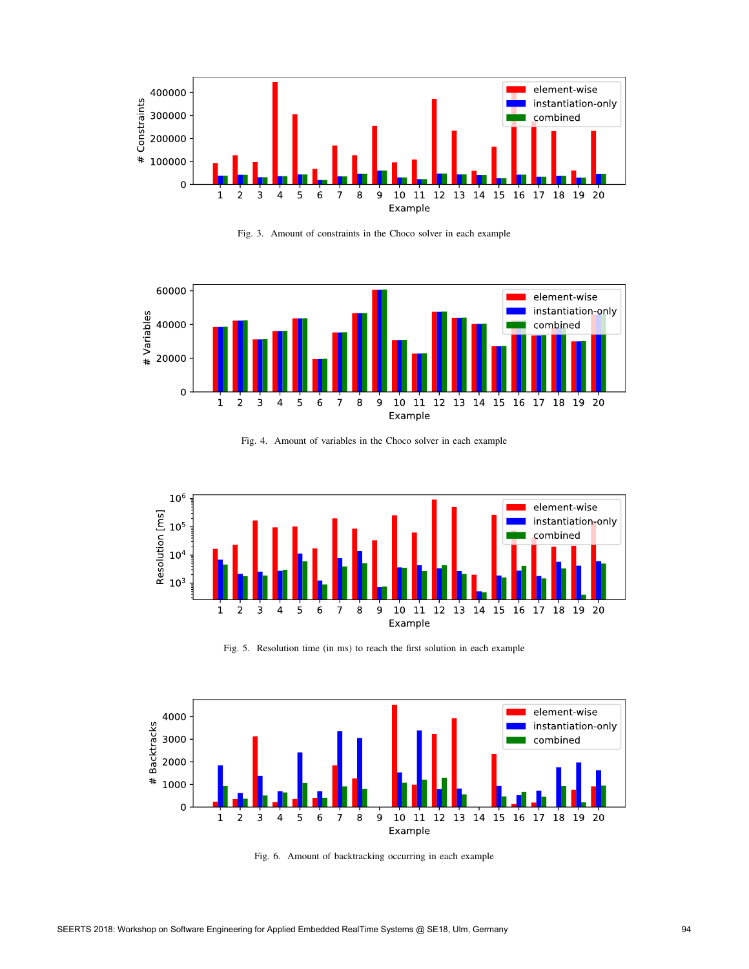

Fig. 3. Amount of constraints in the Choco solver in each example



Fig. 4. Amount of variables in the Choco solver in each example



Fig. 5. Resolution time (in ms) to reach the first solution in each example



Fig. 6. Amount of backtracking occurring in each example